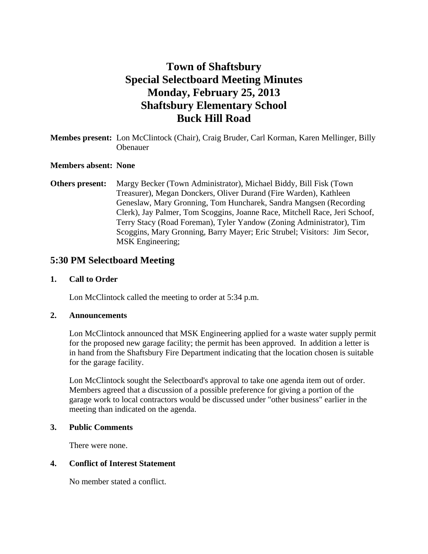# **Town of Shaftsbury Special Selectboard Meeting Minutes Monday, February 25, 2013 Shaftsbury Elementary School Buck Hill Road**

### **Membes present:** Lon McClintock (Chair), Craig Bruder, Carl Korman, Karen Mellinger, Billy Obenauer

#### **Members absent: None**

**Others present:** Margy Becker (Town Administrator), Michael Biddy, Bill Fisk (Town Treasurer), Megan Donckers, Oliver Durand (Fire Warden), Kathleen Geneslaw, Mary Gronning, Tom Huncharek, Sandra Mangsen (Recording Clerk), Jay Palmer, Tom Scoggins, Joanne Race, Mitchell Race, Jeri Schoof, Terry Stacy (Road Foreman), Tyler Yandow (Zoning Administrator), Tim Scoggins, Mary Gronning, Barry Mayer; Eric Strubel; Visitors: Jim Secor, MSK Engineering;

### **5:30 PM Selectboard Meeting**

#### **1. Call to Order**

Lon McClintock called the meeting to order at 5:34 p.m.

#### **2. Announcements**

Lon McClintock announced that MSK Engineering applied for a waste water supply permit for the proposed new garage facility; the permit has been approved. In addition a letter is in hand from the Shaftsbury Fire Department indicating that the location chosen is suitable for the garage facility.

Lon McClintock sought the Selectboard's approval to take one agenda item out of order. Members agreed that a discussion of a possible preference for giving a portion of the garage work to local contractors would be discussed under "other business" earlier in the meeting than indicated on the agenda.

### **3. Public Comments**

There were none.

### **4. Conflict of Interest Statement**

No member stated a conflict.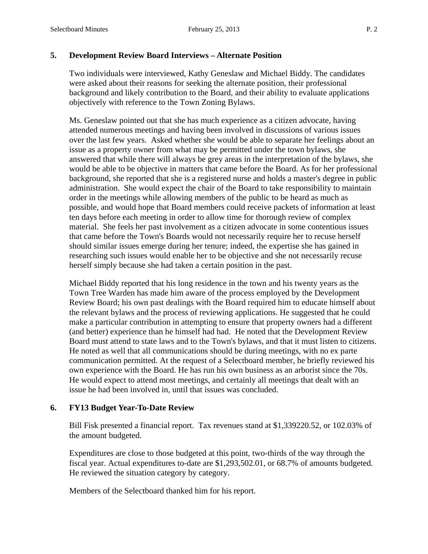### **5. Development Review Board Interviews – Alternate Position**

Two individuals were interviewed, Kathy Geneslaw and Michael Biddy. The candidates were asked about their reasons for seeking the alternate position, their professional background and likely contribution to the Board, and their ability to evaluate applications objectively with reference to the Town Zoning Bylaws.

Ms. Geneslaw pointed out that she has much experience as a citizen advocate, having attended numerous meetings and having been involved in discussions of various issues over the last few years. Asked whether she would be able to separate her feelings about an issue as a property owner from what may be permitted under the town bylaws, she answered that while there will always be grey areas in the interpretation of the bylaws, she would be able to be objective in matters that came before the Board. As for her professional background, she reported that she is a registered nurse and holds a master's degree in public administration. She would expect the chair of the Board to take responsibility to maintain order in the meetings while allowing members of the public to be heard as much as possible, and would hope that Board members could receive packets of information at least ten days before each meeting in order to allow time for thorough review of complex material. She feels her past involvement as a citizen advocate in some contentious issues that came before the Town's Boards would not necessarily require her to recuse herself should similar issues emerge during her tenure; indeed, the expertise she has gained in researching such issues would enable her to be objective and she not necessarily recuse herself simply because she had taken a certain position in the past.

Michael Biddy reported that his long residence in the town and his twenty years as the Town Tree Warden has made him aware of the process employed by the Development Review Board; his own past dealings with the Board required him to educate himself about the relevant bylaws and the process of reviewing applications. He suggested that he could make a particular contribution in attempting to ensure that property owners had a different (and better) experience than he himself had had. He noted that the Development Review Board must attend to state laws and to the Town's bylaws, and that it must listen to citizens. He noted as well that all communications should be during meetings, with no ex parte communication permitted. At the request of a Selectboard member, he briefly reviewed his own experience with the Board. He has run his own business as an arborist since the 70s. He would expect to attend most meetings, and certainly all meetings that dealt with an issue he had been involved in, until that issues was concluded.

### **6. FY13 Budget Year-To-Date Review**

Bill Fisk presented a financial report. Tax revenues stand at \$1,339220.52, or 102.03% of the amount budgeted.

Expenditures are close to those budgeted at this point, two-thirds of the way through the fiscal year. Actual expenditures to-date are \$1,293,502.01, or 68.7% of amounts budgeted. He reviewed the situation category by category.

Members of the Selectboard thanked him for his report.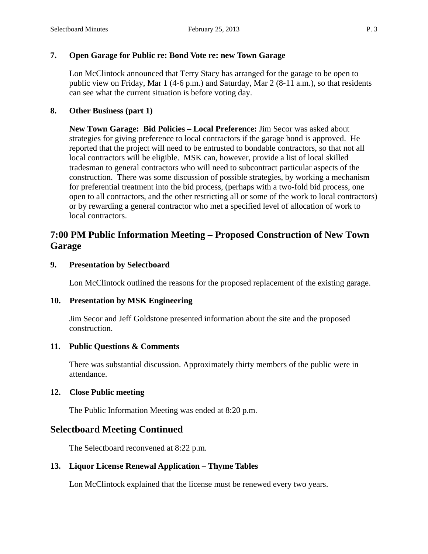### **7. Open Garage for Public re: Bond Vote re: new Town Garage**

Lon McClintock announced that Terry Stacy has arranged for the garage to be open to public view on Friday, Mar 1 (4-6 p.m.) and Saturday, Mar 2 (8-11 a.m.), so that residents can see what the current situation is before voting day.

### **8. Other Business (part 1)**

**New Town Garage: Bid Policies – Local Preference:** Jim Secor was asked about strategies for giving preference to local contractors if the garage bond is approved. He reported that the project will need to be entrusted to bondable contractors, so that not all local contractors will be eligible. MSK can, however, provide a list of local skilled tradesman to general contractors who will need to subcontract particular aspects of the construction. There was some discussion of possible strategies, by working a mechanism for preferential treatment into the bid process, (perhaps with a two-fold bid process, one open to all contractors, and the other restricting all or some of the work to local contractors) or by rewarding a general contractor who met a specified level of allocation of work to local contractors.

# **7:00 PM Public Information Meeting – Proposed Construction of New Town Garage**

### **9. Presentation by Selectboard**

Lon McClintock outlined the reasons for the proposed replacement of the existing garage.

### **10. Presentation by MSK Engineering**

Jim Secor and Jeff Goldstone presented information about the site and the proposed construction.

### **11. Public Questions & Comments**

There was substantial discussion. Approximately thirty members of the public were in attendance.

### **12. Close Public meeting**

The Public Information Meeting was ended at 8:20 p.m.

## **Selectboard Meeting Continued**

The Selectboard reconvened at 8:22 p.m.

### **13. Liquor License Renewal Application – Thyme Tables**

Lon McClintock explained that the license must be renewed every two years.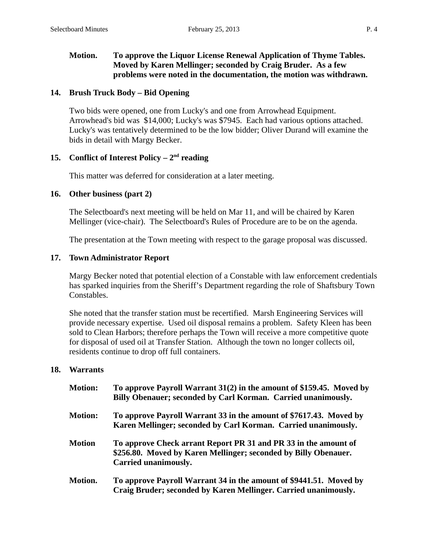### **Motion. To approve the Liquor License Renewal Application of Thyme Tables. Moved by Karen Mellinger; seconded by Craig Bruder. As a few problems were noted in the documentation, the motion was withdrawn.**

#### **14. Brush Truck Body – Bid Opening**

Two bids were opened, one from Lucky's and one from Arrowhead Equipment. Arrowhead's bid was \$14,000; Lucky's was \$7945. Each had various options attached. Lucky's was tentatively determined to be the low bidder; Oliver Durand will examine the bids in detail with Margy Becker.

#### **15. Conflict of Interest Policy – 2nd reading**

This matter was deferred for consideration at a later meeting.

#### **16. Other business (part 2)**

The Selectboard's next meeting will be held on Mar 11, and will be chaired by Karen Mellinger (vice-chair). The Selectboard's Rules of Procedure are to be on the agenda.

The presentation at the Town meeting with respect to the garage proposal was discussed.

#### **17. Town Administrator Report**

Margy Becker noted that potential election of a Constable with law enforcement credentials has sparked inquiries from the Sheriff's Department regarding the role of Shaftsbury Town Constables.

She noted that the transfer station must be recertified. Marsh Engineering Services will provide necessary expertise. Used oil disposal remains a problem. Safety Kleen has been sold to Clean Harbors; therefore perhaps the Town will receive a more competitive quote for disposal of used oil at Transfer Station. Although the town no longer collects oil, residents continue to drop off full containers.

#### **18. Warrants**

| <b>Motion:</b> | To approve Payroll Warrant 31(2) in the amount of \$159.45. Moved by<br>Billy Obenauer; seconded by Carl Korman. Carried unanimously.                      |
|----------------|------------------------------------------------------------------------------------------------------------------------------------------------------------|
| <b>Motion:</b> | To approve Payroll Warrant 33 in the amount of \$7617.43. Moved by<br>Karen Mellinger; seconded by Carl Korman. Carried unanimously.                       |
| <b>Motion</b>  | To approve Check arrant Report PR 31 and PR 33 in the amount of<br>\$256.80. Moved by Karen Mellinger; seconded by Billy Obenauer.<br>Carried unanimously. |
| Motion.        | To approve Payroll Warrant 34 in the amount of \$9441.51. Moved by<br>Craig Bruder; seconded by Karen Mellinger. Carried unanimously.                      |